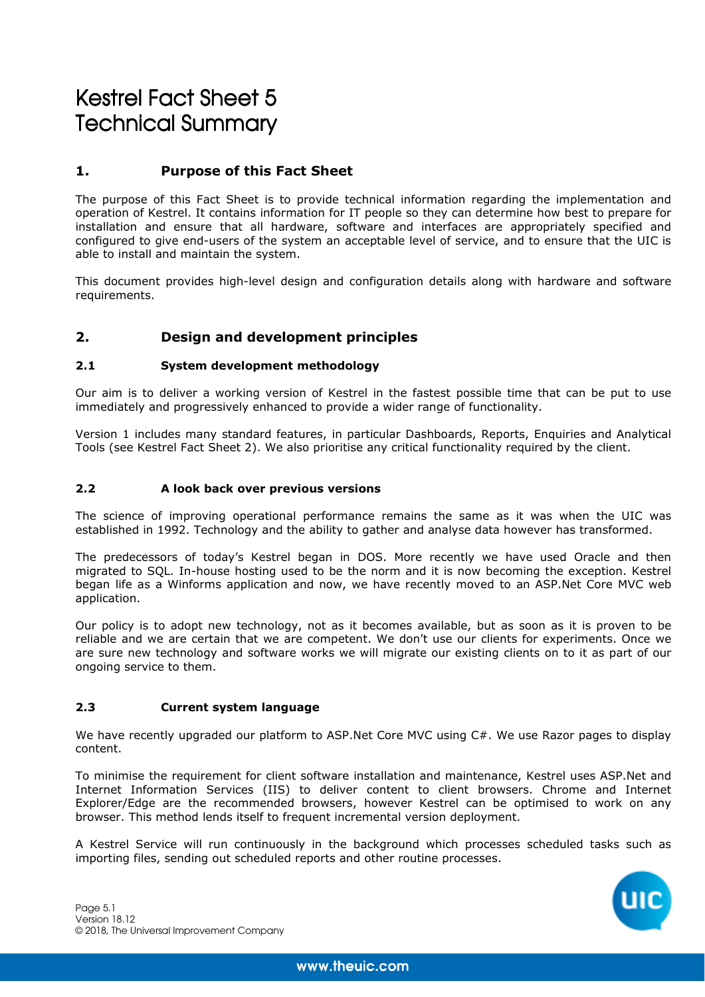# Kestrel Fact Sheet 5 **Technical Summary**

# **1. Purpose of this Fact Sheet**

The purpose of this Fact Sheet is to provide technical information regarding the implementation and operation of Kestrel. It contains information for IT people so they can determine how best to prepare for installation and ensure that all hardware, software and interfaces are appropriately specified and configured to give end-users of the system an acceptable level of service, and to ensure that the UIC is able to install and maintain the system.

This document provides high-level design and configuration details along with hardware and software requirements.

# **2. Design and development principles**

#### **2.1 System development methodology**

Our aim is to deliver a working version of Kestrel in the fastest possible time that can be put to use immediately and progressively enhanced to provide a wider range of functionality.

Version 1 includes many standard features, in particular Dashboards, Reports, Enquiries and Analytical Tools (see Kestrel Fact Sheet 2). We also prioritise any critical functionality required by the client.

#### **2.2 A look back over previous versions**

The science of improving operational performance remains the same as it was when the UIC was established in 1992. Technology and the ability to gather and analyse data however has transformed.

The predecessors of today's Kestrel began in DOS. More recently we have used Oracle and then migrated to SQL. In-house hosting used to be the norm and it is now becoming the exception. Kestrel began life as a Winforms application and now, we have recently moved to an ASP.Net Core MVC web application.

Our policy is to adopt new technology, not as it becomes available, but as soon as it is proven to be reliable and we are certain that we are competent. We don't use our clients for experiments. Once we are sure new technology and software works we will migrate our existing clients on to it as part of our ongoing service to them.

#### **2.3 Current system language**

We have recently upgraded our platform to ASP.Net Core MVC using C#. We use Razor pages to display content.

To minimise the requirement for client software installation and maintenance, Kestrel uses ASP.Net and Internet Information Services (IIS) to deliver content to client browsers. Chrome and Internet Explorer/Edge are the recommended browsers, however Kestrel can be optimised to work on any browser. This method lends itself to frequent incremental version deployment.

A Kestrel Service will run continuously in the background which processes scheduled tasks such as importing files, sending out scheduled reports and other routine processes.

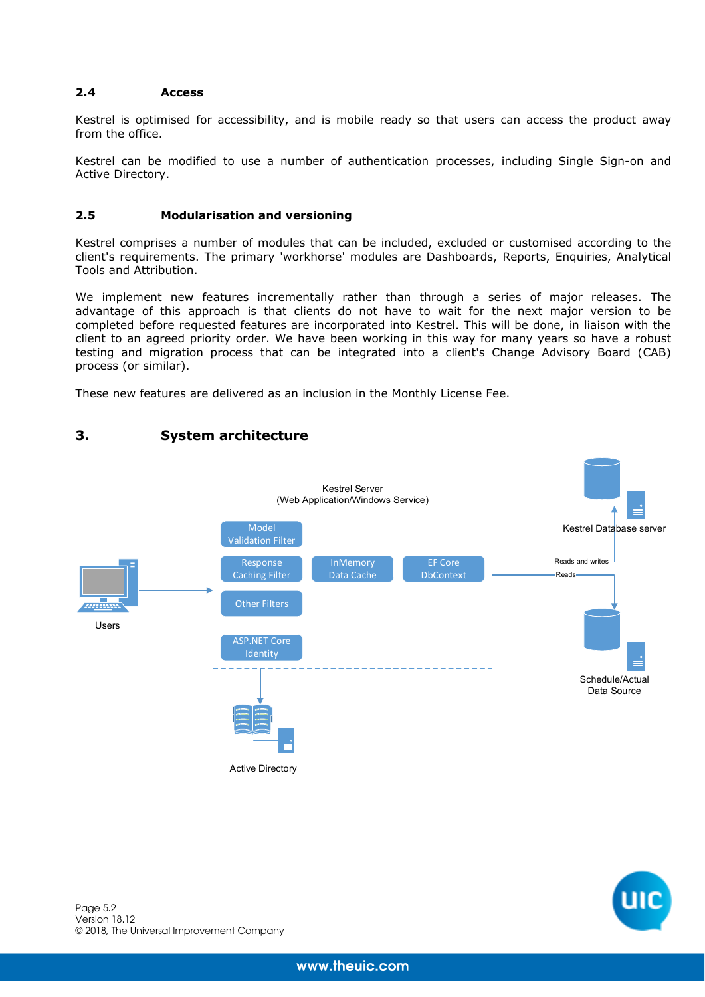## **2.4 Access**

Kestrel is optimised for accessibility, and is mobile ready so that users can access the product away from the office.

Kestrel can be modified to use a number of authentication processes, including Single Sign-on and Active Directory.

## **2.5 Modularisation and versioning**

**3. System architecture** 

Kestrel comprises a number of modules that can be included, excluded or customised according to the client's requirements. The primary 'workhorse' modules are Dashboards, Reports, Enquiries, Analytical Tools and Attribution.

We implement new features incrementally rather than through a series of major releases. The advantage of this approach is that clients do not have to wait for the next major version to be completed before requested features are incorporated into Kestrel. This will be done, in liaison with the client to an agreed priority order. We have been working in this way for many years so have a robust testing and migration process that can be integrated into a client's Change Advisory Board (CAB) process (or similar).

These new features are delivered as an inclusion in the Monthly License Fee.

## Kestrel Server (Web Application/Windows Service) Model Kestrel Database server Validation Filter Response **InMemory** EF Core Reads and writes Caching Filter Data Cache DbContext Reads *am*m Other Filters Users ASP.NET Core Identity Schedule/Actual Data Source

Active Directory

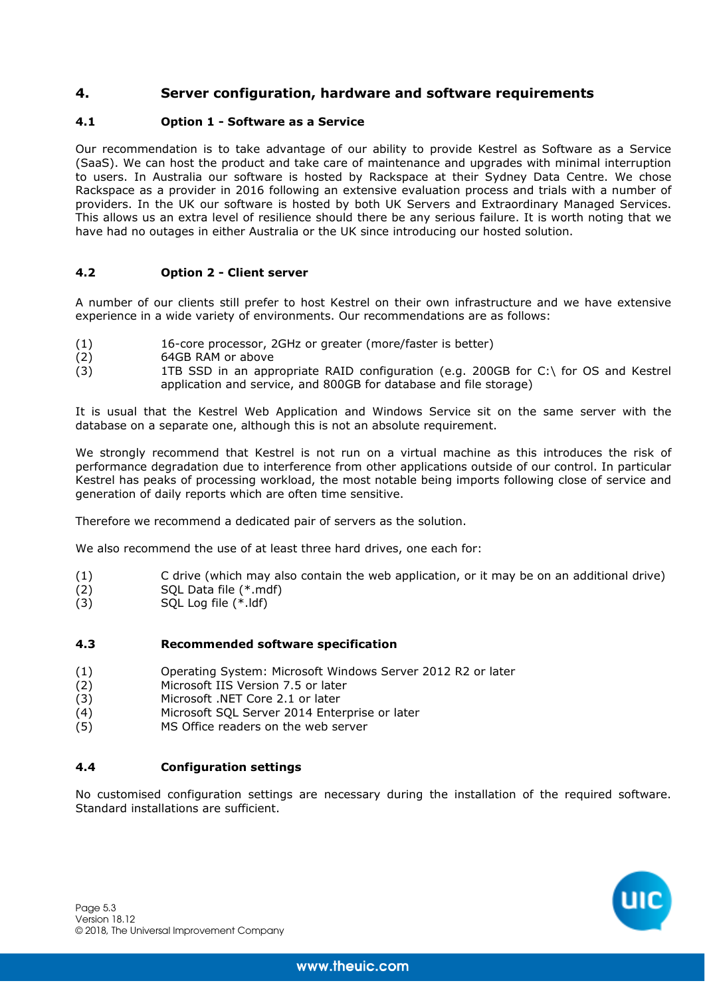# **4. Server configuration, hardware and software requirements**

## **4.1 Option 1 - Software as a Service**

Our recommendation is to take advantage of our ability to provide Kestrel as Software as a Service (SaaS). We can host the product and take care of maintenance and upgrades with minimal interruption to users. In Australia our software is hosted by Rackspace at their Sydney Data Centre. We chose Rackspace as a provider in 2016 following an extensive evaluation process and trials with a number of providers. In the UK our software is hosted by both UK Servers and Extraordinary Managed Services. This allows us an extra level of resilience should there be any serious failure. It is worth noting that we have had no outages in either Australia or the UK since introducing our hosted solution.

## **4.2 Option 2 - Client server**

A number of our clients still prefer to host Kestrel on their own infrastructure and we have extensive experience in a wide variety of environments. Our recommendations are as follows:

- (1) 16-core processor, 2GHz or greater (more/faster is better)<br>(2) 64GB RAM or above
- (2) 64GB RAM or above<br>(3) 1TB SSD in an app
- 1TB SSD in an appropriate RAID configuration (e.g. 200GB for  $C:\$  for OS and Kestrel application and service, and 800GB for database and file storage)

It is usual that the Kestrel Web Application and Windows Service sit on the same server with the database on a separate one, although this is not an absolute requirement.

We strongly recommend that Kestrel is not run on a virtual machine as this introduces the risk of performance degradation due to interference from other applications outside of our control. In particular Kestrel has peaks of processing workload, the most notable being imports following close of service and generation of daily reports which are often time sensitive.

Therefore we recommend a dedicated pair of servers as the solution.

We also recommend the use of at least three hard drives, one each for:

- (1) C drive (which may also contain the web application, or it may be on an additional drive)
- (2) SQL Data file (\*.mdf)<br>(3) SOL Log file (\*.ldf)
- SQL Log file  $(*.$ ldf)

## **4.3 Recommended software specification**

- (1) Operating System: Microsoft Windows Server 2012 R2 or later
- (2) Microsoft IIS Version 7.5 or later
- (3) Microsoft .NET Core 2.1 or later<br>(4) Microsoft SOL Server 2014 Ente
- Microsoft SOL Server 2014 Enterprise or later
- (5) MS Office readers on the web server

## **4.4 Configuration settings**

No customised configuration settings are necessary during the installation of the required software. Standard installations are sufficient.

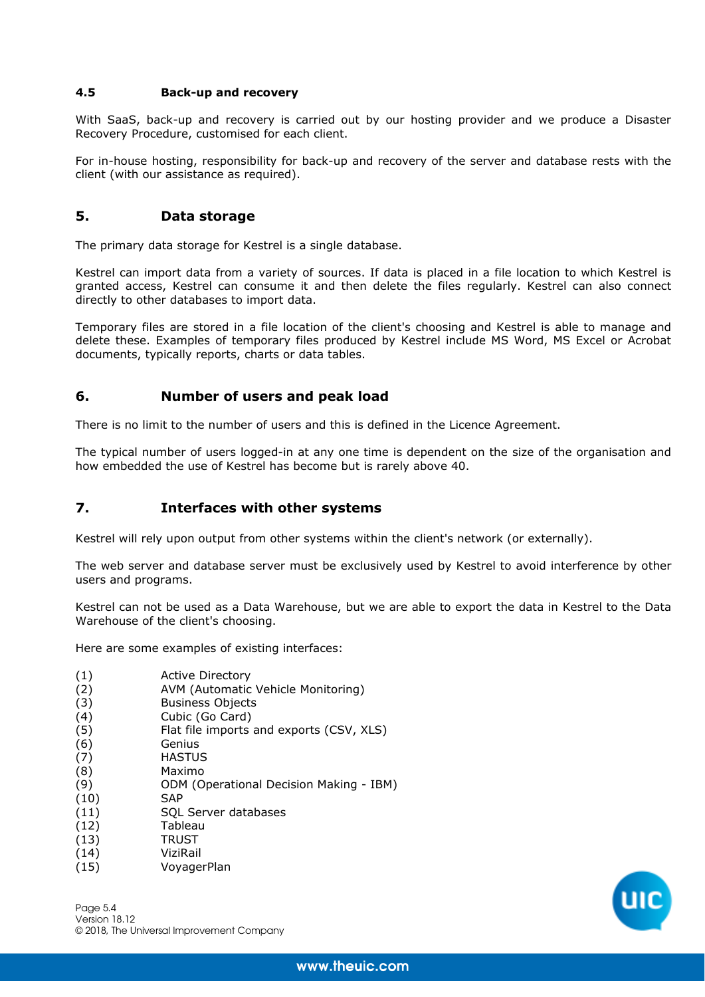## **4.5 Back-up and recovery**

With SaaS, back-up and recovery is carried out by our hosting provider and we produce a Disaster Recovery Procedure, customised for each client.

For in-house hosting, responsibility for back-up and recovery of the server and database rests with the client (with our assistance as required).

## **5. Data storage**

The primary data storage for Kestrel is a single database.

Kestrel can import data from a variety of sources. If data is placed in a file location to which Kestrel is granted access, Kestrel can consume it and then delete the files regularly. Kestrel can also connect directly to other databases to import data.

Temporary files are stored in a file location of the client's choosing and Kestrel is able to manage and delete these. Examples of temporary files produced by Kestrel include MS Word, MS Excel or Acrobat documents, typically reports, charts or data tables.

## **6. Number of users and peak load**

There is no limit to the number of users and this is defined in the Licence Agreement.

The typical number of users logged-in at any one time is dependent on the size of the organisation and how embedded the use of Kestrel has become but is rarely above 40.

## **7. Interfaces with other systems**

Kestrel will rely upon output from other systems within the client's network (or externally).

The web server and database server must be exclusively used by Kestrel to avoid interference by other users and programs.

Kestrel can not be used as a Data Warehouse, but we are able to export the data in Kestrel to the Data Warehouse of the client's choosing.

Here are some examples of existing interfaces:

- (1) Active Directory
- (2) AVM (Automatic Vehicle Monitoring)
- (3) Business Objects
- (4) Cubic (Go Card)
- (5) Flat file imports and exports (CSV, XLS)
- (6) Genius
- (7) HASTUS
- (8) Maximo
- (9) ODM (Operational Decision Making IBM)
- (10) SAP
- (11) SQL Server databases
- (12) Tableau
- $(13)$  TRUST
- (14) ViziRail
- (15) VoyagerPlan

Page 5.4 Version 18.12 © 2018, The Universal Improvement Company

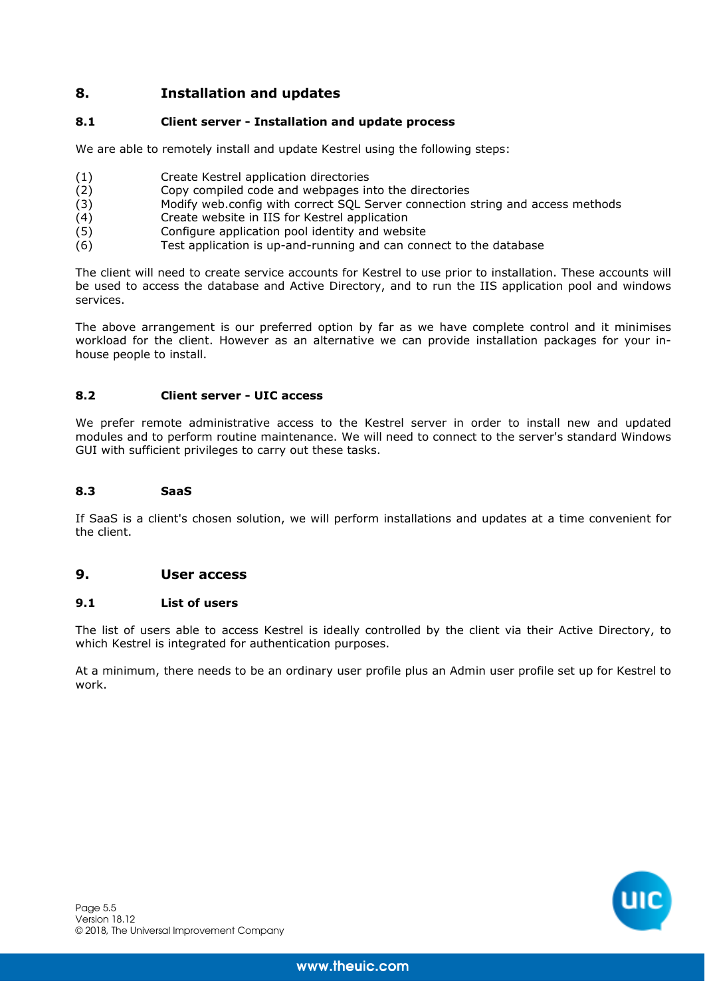# **8. Installation and updates**

## **8.1 Client server - Installation and update process**

We are able to remotely install and update Kestrel using the following steps:

- (1) Create Kestrel application directories<br>(2) Copy compiled code and webpages in
- (2) Copy compiled code and webpages into the directories<br>(3) Modify web.config with correct SQL Server connection
- Modify web.config with correct SQL Server connection string and access methods
- (4) Create website in IIS for Kestrel application<br>(5) Configure application pool identity and webs
- Configure application pool identity and website
- (6) Test application is up-and-running and can connect to the database

The client will need to create service accounts for Kestrel to use prior to installation. These accounts will be used to access the database and Active Directory, and to run the IIS application pool and windows services.

The above arrangement is our preferred option by far as we have complete control and it minimises workload for the client. However as an alternative we can provide installation packages for your inhouse people to install.

## **8.2 Client server - UIC access**

We prefer remote administrative access to the Kestrel server in order to install new and updated modules and to perform routine maintenance. We will need to connect to the server's standard Windows GUI with sufficient privileges to carry out these tasks.

#### **8.3 SaaS**

If SaaS is a client's chosen solution, we will perform installations and updates at a time convenient for the client.

## **9. User access**

## **9.1 List of users**

The list of users able to access Kestrel is ideally controlled by the client via their Active Directory, to which Kestrel is integrated for authentication purposes.

At a minimum, there needs to be an ordinary user profile plus an Admin user profile set up for Kestrel to work.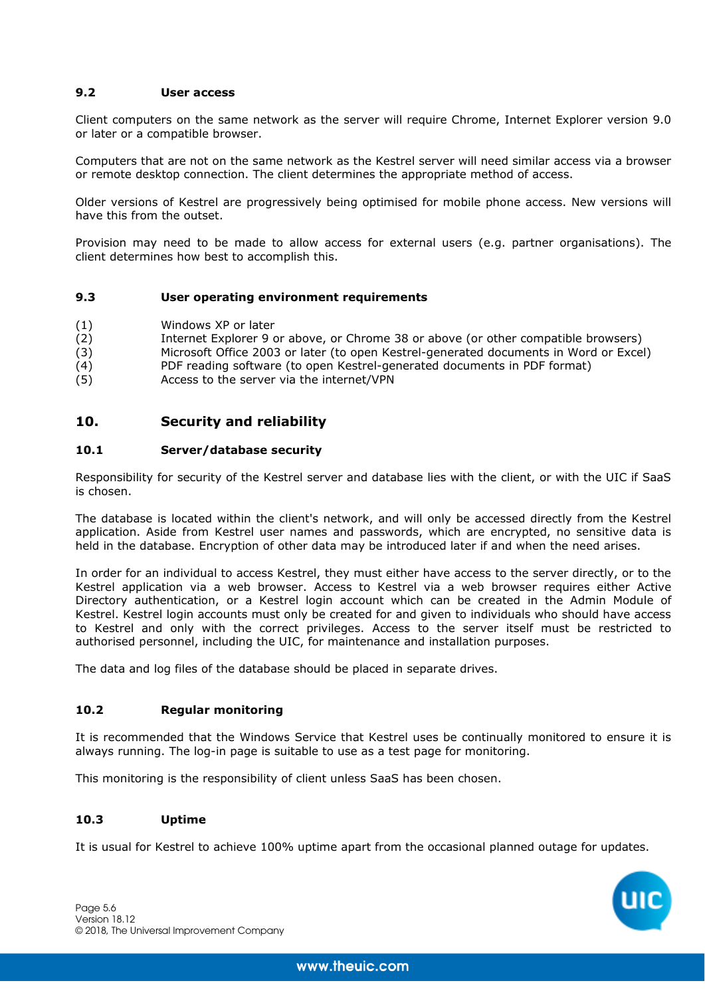## **9.2 User access**

Client computers on the same network as the server will require Chrome, Internet Explorer version 9.0 or later or a compatible browser.

Computers that are not on the same network as the Kestrel server will need similar access via a browser or remote desktop connection. The client determines the appropriate method of access.

Older versions of Kestrel are progressively being optimised for mobile phone access. New versions will have this from the outset.

Provision may need to be made to allow access for external users (e.g. partner organisations). The client determines how best to accomplish this.

#### **9.3 User operating environment requirements**

- (1) Windows XP or later
- (2) Internet Explorer 9 or above, or Chrome 38 or above (or other compatible browsers)
- (3) Microsoft Office 2003 or later (to open Kestrel-generated documents in Word or Excel)
- (4) PDF reading software (to open Kestrel-generated documents in PDF format)
- (5) Access to the server via the internet/VPN

## **10. Security and reliability**

#### **10.1 Server/database security**

Responsibility for security of the Kestrel server and database lies with the client, or with the UIC if SaaS is chosen.

The database is located within the client's network, and will only be accessed directly from the Kestrel application. Aside from Kestrel user names and passwords, which are encrypted, no sensitive data is held in the database. Encryption of other data may be introduced later if and when the need arises.

In order for an individual to access Kestrel, they must either have access to the server directly, or to the Kestrel application via a web browser. Access to Kestrel via a web browser requires either Active Directory authentication, or a Kestrel login account which can be created in the Admin Module of Kestrel. Kestrel login accounts must only be created for and given to individuals who should have access to Kestrel and only with the correct privileges. Access to the server itself must be restricted to authorised personnel, including the UIC, for maintenance and installation purposes.

The data and log files of the database should be placed in separate drives.

## **10.2 Regular monitoring**

It is recommended that the Windows Service that Kestrel uses be continually monitored to ensure it is always running. The log-in page is suitable to use as a test page for monitoring.

This monitoring is the responsibility of client unless SaaS has been chosen.

## **10.3 Uptime**

It is usual for Kestrel to achieve 100% uptime apart from the occasional planned outage for updates.